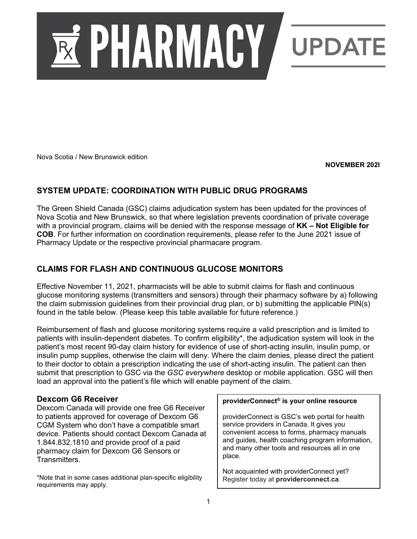

Nova Scotia / New Brunswick edition

**NOVEMBER 202I**

# **SYSTEM UPDATE: COORDINATION WITH PUBLIC DRUG PROGRAMS**

The Green Shield Canada (GSC) claims adjudication system has been updated for the provinces of Nova Scotia and New Brunswick, so that where legislation prevents coordination of private coverage with a provincial program, claims will be denied with the response message of **KK – Not Eligible for COB**. For further information on coordination requirements, please refer to the June 2021 issue of Pharmacy Update or the respective provincial pharmacare program.

# **CLAIMS FOR FLASH AND CONTINUOUS GLUCOSE MONITORS**

Effective November 11, 2021, pharmacists will be able to submit claims for flash and continuous glucose monitoring systems (transmitters and sensors) through their pharmacy software by a) following the claim submission guidelines from their provincial drug plan, or b) submitting the applicable PIN(s) found in the table below. (Please keep this table available for future reference.)

Reimbursement of flash and glucose monitoring systems require a valid prescription and is limited to patients with insulin-dependent diabetes. To confirm eligibility\*, the adjudication system will look in the patient's most recent 90-day claim history for evidence of use of short-acting insulin, insulin pump, or insulin pump supplies, otherwise the claim will deny. Where the claim denies, please direct the patient to their doctor to obtain a prescription indicating the use of short-acting insulin. The patient can then submit that prescription to GSC via the *GSC everywhere* desktop or mobile application. GSC will then load an approval into the patient's file which will enable payment of the claim.

### **Dexcom G6 Receiver**

Dexcom Canada will provide one free G6 Receiver to patients approved for coverage of Dexcom G6 CGM System who don't have a compatible smart device. Patients should contact Dexcom Canada at 1.844.832.1810 and provide proof of a paid pharmacy claim for Dexcom G6 Sensors or Transmitters.

\*Note that in some cases additional plan-specific eligibility requirements may apply.

#### **providerConnect® is your online resource**

providerConnect is GSC's web portal for health service providers in Canada. It gives you convenient access to forms, pharmacy manuals and guides, health coaching program information, and many other tools and resources all in one place.

Not acquainted with providerConnect yet? Register today at **providerconnect.ca**.